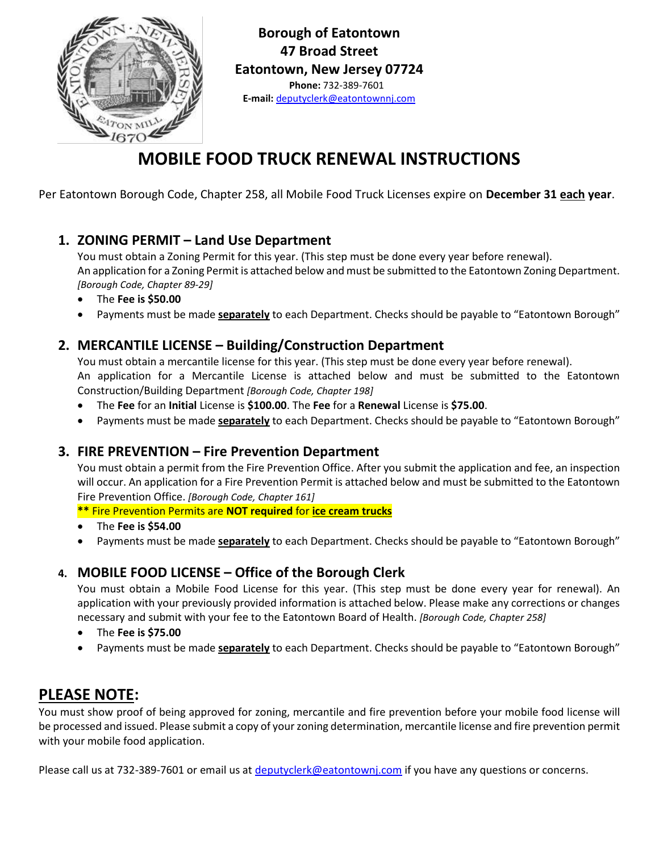

**Borough of Eatontown 47 Broad Street Eatontown, New Jersey 07724 Phone:** 732-389-7601 **E-mail:** [deputyclerk@eatontownnj.com](mailto:deputyclerk@eatontownnj.com)

## **MOBILE FOOD TRUCK RENEWAL INSTRUCTIONS**

Per Eatontown Borough Code, Chapter 258, all Mobile Food Truck Licenses expire on **December 31 each year**.

### **1. ZONING PERMIT – Land Use Department**

You must obtain a Zoning Permit for this year. (This step must be done every year before renewal). An application for a Zoning Permit is attached below and must be submitted to the Eatontown Zoning Department. *[Borough Code, Chapter 89-29]*

- The **Fee is \$50.00**
- Payments must be made **separately** to each Department. Checks should be payable to "Eatontown Borough"

### **2. MERCANTILE LICENSE – Building/Construction Department**

You must obtain a mercantile license for this year. (This step must be done every year before renewal). An application for a Mercantile License is attached below and must be submitted to the Eatontown Construction/Building Department *[Borough Code, Chapter 198]*

- The **Fee** for an **Initial** License is **\$100.00**. The **Fee** for a **Renewal** License is **\$75.00**.
- Payments must be made **separately** to each Department. Checks should be payable to "Eatontown Borough"

### **3. FIRE PREVENTION – Fire Prevention Department**

You must obtain a permit from the Fire Prevention Office. After you submit the application and fee, an inspection will occur. An application for a Fire Prevention Permit is attached below and must be submitted to the Eatontown Fire Prevention Office. *[Borough Code, Chapter 161]*

**\*\*** Fire Prevention Permits are **NOT required** for **ice cream trucks**

- The **Fee is \$54.00**
- Payments must be made **separately** to each Department. Checks should be payable to "Eatontown Borough"

### **4. MOBILE FOOD LICENSE – Office of the Borough Clerk**

You must obtain a Mobile Food License for this year. (This step must be done every year for renewal). An application with your previously provided information is attached below. Please make any corrections or changes necessary and submit with your fee to the Eatontown Board of Health. *[Borough Code, Chapter 258]*

- The **Fee is \$75.00**
- Payments must be made **separately** to each Department. Checks should be payable to "Eatontown Borough"

### **PLEASE NOTE:**

You must show proof of being approved for zoning, mercantile and fire prevention before your mobile food license will be processed and issued. Please submit a copy of your zoning determination, mercantile license and fire prevention permit with your mobile food application.

Please call us at 732-389-7601 or email us at [deputyclerk@eatontownj.com](mailto:deputyclerk@eatontownj.com) if you have any questions or concerns.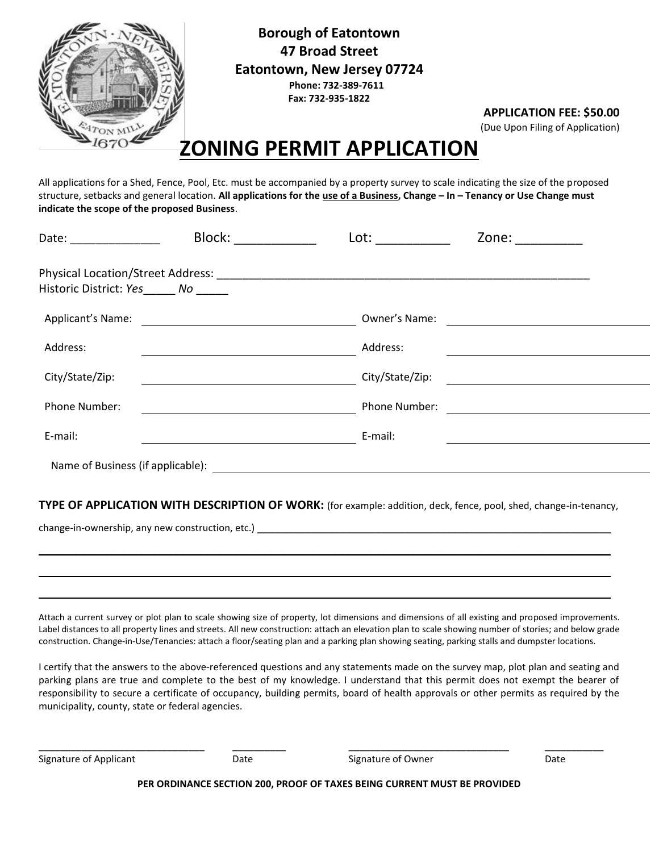

**Borough of Eatontown 47 Broad Street Eatontown, New Jersey 07724 Phone: 732-389-7611 Fax: 732-935-1822**

**APPLICATION FEE: \$50.00**

(Due Upon Filing of Application)

## **ZONING PERMIT APPLICATION**

All applications for a Shed, Fence, Pool, Etc. must be accompanied by a property survey to scale indicating the size of the proposed structure, setbacks and general location. **All applications for the use of a Business, Change – In – Tenancy or Use Change must indicate the scope of the proposed Business**.

| Date: _____________               | Block:                                                             | Lot:            | Zone:                                                |  |
|-----------------------------------|--------------------------------------------------------------------|-----------------|------------------------------------------------------|--|
|                                   |                                                                    |                 |                                                      |  |
| Historic District: Yes No         |                                                                    |                 |                                                      |  |
| Applicant's Name:                 | <u> 1989 - Andrea Station Barbara, amerikan personal (h. 1989)</u> | Owner's Name:   |                                                      |  |
| Address:                          |                                                                    | Address:        |                                                      |  |
| City/State/Zip:                   |                                                                    | City/State/Zip: | <u> 1989 - Johann Stein, Amerikaansk politiker (</u> |  |
| Phone Number:                     |                                                                    | Phone Number:   |                                                      |  |
| E-mail:                           |                                                                    | E-mail:         |                                                      |  |
| Name of Business (if applicable): |                                                                    |                 |                                                      |  |

**TYPE OF APPLICATION WITH DESCRIPTION OF WORK:** (for example: addition, deck, fence, pool, shed, change-in-tenancy,

 $\_$  , and the contribution of the contribution of the contribution of the contribution of  $\mathcal{L}_\text{max}$ 

 $\overline{\phantom{a}}$  , and the contribution of the contribution of the contribution of the contribution of the contribution of the contribution of the contribution of the contribution of the contribution of the contribution of the

\_\_\_\_\_\_\_\_\_\_\_\_\_\_\_\_\_\_\_\_\_\_\_\_\_\_\_\_\_\_\_\_\_\_\_\_\_\_\_\_\_\_\_\_\_\_\_\_\_\_\_\_\_\_\_\_\_\_\_\_\_\_\_\_\_\_\_\_\_\_\_\_\_\_\_\_\_\_\_\_\_\_\_\_\_\_\_\_\_\_\_\_\_\_\_\_\_

change-in-ownership, any new construction, etc.) \_\_\_\_\_\_\_\_\_\_\_\_\_\_\_\_\_\_\_\_\_\_\_\_\_\_\_\_\_\_\_

Attach a current survey or plot plan to scale showing size of property, lot dimensions and dimensions of all existing and proposed improvements. Label distances to all property lines and streets. All new construction: attach an elevation plan to scale showing number of stories; and below grade construction. Change-in-Use/Tenancies: attach a floor/seating plan and a parking plan showing seating, parking stalls and dumpster locations.

I certify that the answers to the above-referenced questions and any statements made on the survey map, plot plan and seating and parking plans are true and complete to the best of my knowledge. I understand that this permit does not exempt the bearer of responsibility to secure a certificate of occupancy, building permits, board of health approvals or other permits as required by the municipality, county, state or federal agencies.

Signature of Applicant The State Signature of Owner Date Date Signature of Owner Date

\_\_\_\_\_\_\_\_\_\_\_\_\_\_\_\_\_\_\_\_\_\_\_\_\_\_\_\_\_\_\_ \_\_\_\_\_\_\_\_\_\_ \_\_\_\_\_\_\_\_\_\_\_\_\_\_\_\_\_\_\_\_\_\_\_\_\_\_\_\_\_\_ \_\_\_\_\_\_\_\_\_\_\_

**PER ORDINANCE SECTION 200, PROOF OF TAXES BEING CURRENT MUST BE PROVIDED**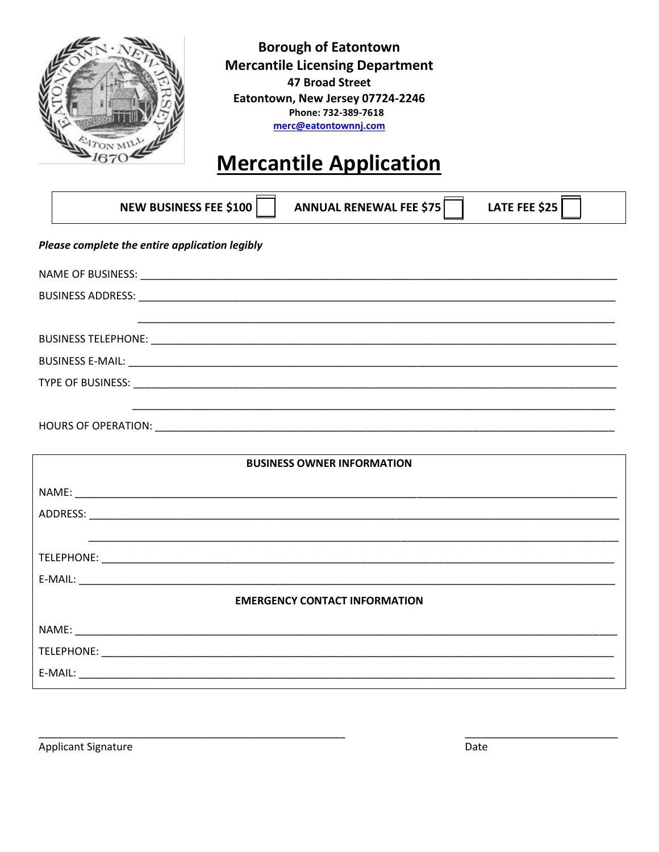

**Borough of Eatontown Mercantile Licensing Department 47 Broad Street** Eatontown, New Jersey 07724-2246 Phone: 732-389-7618 merc@eatontownnj.com

# **Mercantile Application**

|                                                | <b>NEW BUSINESS FEE \$100</b><br>LATE FEE \$25<br><b>ANNUAL RENEWAL FEE \$75</b> |  |  |  |  |  |  |
|------------------------------------------------|----------------------------------------------------------------------------------|--|--|--|--|--|--|
| Please complete the entire application legibly |                                                                                  |  |  |  |  |  |  |
|                                                |                                                                                  |  |  |  |  |  |  |
|                                                |                                                                                  |  |  |  |  |  |  |
|                                                |                                                                                  |  |  |  |  |  |  |
|                                                |                                                                                  |  |  |  |  |  |  |
|                                                |                                                                                  |  |  |  |  |  |  |
|                                                |                                                                                  |  |  |  |  |  |  |
|                                                | <b>BUSINESS OWNER INFORMATION</b>                                                |  |  |  |  |  |  |
|                                                |                                                                                  |  |  |  |  |  |  |
|                                                |                                                                                  |  |  |  |  |  |  |
|                                                |                                                                                  |  |  |  |  |  |  |
|                                                |                                                                                  |  |  |  |  |  |  |
|                                                |                                                                                  |  |  |  |  |  |  |
|                                                | <b>EMERGENCY CONTACT INFORMATION</b>                                             |  |  |  |  |  |  |
|                                                | NAME: NAME:                                                                      |  |  |  |  |  |  |
|                                                | <b>TELEPHONE:</b>                                                                |  |  |  |  |  |  |

**Applicant Signature** 

Date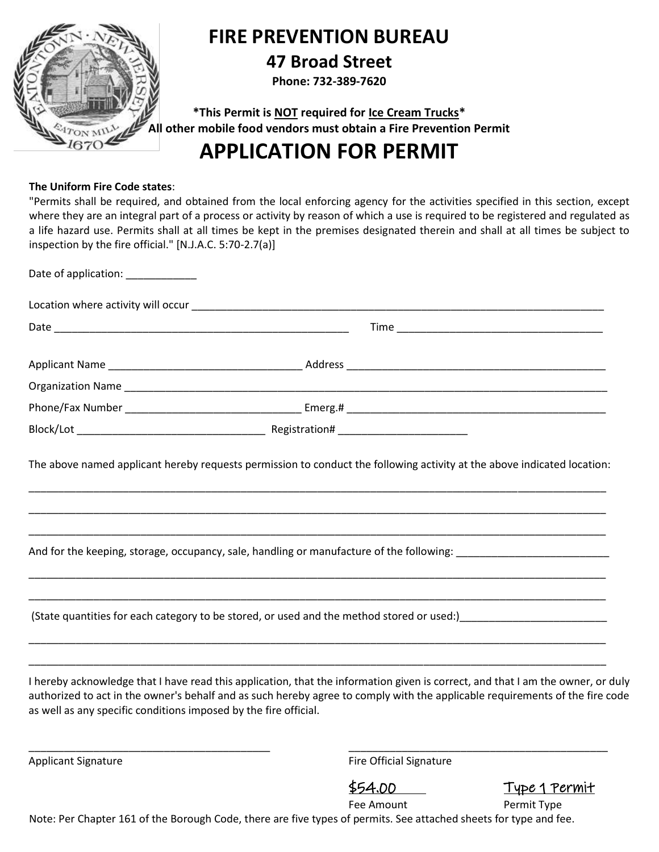

### **FIRE PREVENTION BUREAU**

### **47 Broad Street**

**Phone: 732-389-7620**

**\*This Permit is NOT required for Ice Cream Trucks\* All other mobile food vendors must obtain a Fire Prevention Permit**

## **APPLICATION FOR PERMIT**

### **The Uniform Fire Code states**:

"Permits shall be required, and obtained from the local enforcing agency for the activities specified in this section, except where they are an integral part of a process or activity by reason of which a use is required to be registered and regulated as a life hazard use. Permits shall at all times be kept in the premises designated therein and shall at all times be subject to inspection by the fire official." [N.J.A.C. 5:70-2.7(a)]

| Date of application: _____________                               |                                                                                                                                                                                                                                                                                                                                                                                           |  |
|------------------------------------------------------------------|-------------------------------------------------------------------------------------------------------------------------------------------------------------------------------------------------------------------------------------------------------------------------------------------------------------------------------------------------------------------------------------------|--|
|                                                                  |                                                                                                                                                                                                                                                                                                                                                                                           |  |
|                                                                  |                                                                                                                                                                                                                                                                                                                                                                                           |  |
|                                                                  |                                                                                                                                                                                                                                                                                                                                                                                           |  |
|                                                                  |                                                                                                                                                                                                                                                                                                                                                                                           |  |
|                                                                  |                                                                                                                                                                                                                                                                                                                                                                                           |  |
|                                                                  |                                                                                                                                                                                                                                                                                                                                                                                           |  |
|                                                                  | And for the keeping, storage, occupancy, sale, handling or manufacture of the following: ___________________________                                                                                                                                                                                                                                                                      |  |
|                                                                  |                                                                                                                                                                                                                                                                                                                                                                                           |  |
| as well as any specific conditions imposed by the fire official. | <u> 1989 - Johann John Harry, mars and deutscher Stadt and deutscher Stadt and deutscher Stadt and deutscher Stadt</u><br>I hereby acknowledge that I have read this application, that the information given is correct, and that I am the owner, or duly<br>authorized to act in the owner's behalf and as such hereby agree to comply with the applicable requirements of the fire code |  |

Applicant Signature **Fire Official Signature** Fire Official Signature

\$54.00 Type 1 Permit

Fee Amount Permit Type

Note: Per Chapter 161 of the Borough Code, there are five types of permits. See attached sheets for type and fee.

\_\_\_\_\_\_\_\_\_\_\_\_\_\_\_\_\_\_\_\_\_\_\_\_\_\_\_\_\_\_\_\_\_\_\_\_\_\_\_\_\_ \_\_\_\_\_\_\_\_\_\_\_\_\_\_\_\_\_\_\_\_\_\_\_\_\_\_\_\_\_\_\_\_\_\_\_\_\_\_\_\_\_\_\_\_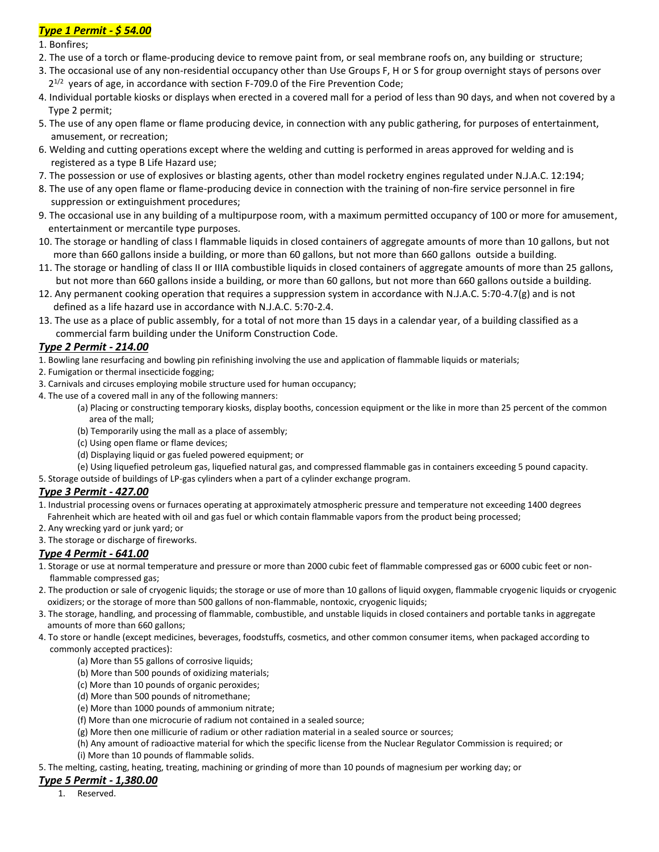### *Type 1 Permit - \$ 54.00*

1. Bonfires;

- 2. The use of a torch or flame-producing device to remove paint from, or seal membrane roofs on, any building or structure;
- 3. The occasional use of any non-residential occupancy other than Use Groups F, H or S for group overnight stays of persons over  $2^{1/2}$  years of age, in accordance with section F-709.0 of the Fire Prevention Code;
- 4. Individual portable kiosks or displays when erected in a covered mall for a period of less than 90 days, and when not covered by a Type 2 permit;
- 5. The use of any open flame or flame producing device, in connection with any public gathering, for purposes of entertainment, amusement, or recreation;
- 6. Welding and cutting operations except where the welding and cutting is performed in areas approved for welding and is registered as a type B Life Hazard use;
- 7. The possession or use of explosives or blasting agents, other than model rocketry engines regulated under N.J.A.C. 12:194;
- 8. The use of any open flame or flame-producing device in connection with the training of non-fire service personnel in fire suppression or extinguishment procedures;
- 9. The occasional use in any building of a multipurpose room, with a maximum permitted occupancy of 100 or more for amusement, entertainment or mercantile type purposes.
- 10. The storage or handling of class I flammable liquids in closed containers of aggregate amounts of more than 10 gallons, but not more than 660 gallons inside a building, or more than 60 gallons, but not more than 660 gallons outside a building.
- 11. The storage or handling of class II or IIIA combustible liquids in closed containers of aggregate amounts of more than 25 gallons, but not more than 660 gallons inside a building, or more than 60 gallons, but not more than 660 gallons outside a building.
- 12. Any permanent cooking operation that requires a suppression system in accordance with N.J.A.C. 5:70-4.7(g) and is not defined as a life hazard use in accordance with N.J.A.C. 5:70-2.4.
- 13. The use as a place of public assembly, for a total of not more than 15 days in a calendar year, of a building classified as a commercial farm building under the Uniform Construction Code.

### *Type 2 Permit - 214.00*

1. Bowling lane resurfacing and bowling pin refinishing involving the use and application of flammable liquids or materials;

- 2. Fumigation or thermal insecticide fogging;
- 3. Carnivals and circuses employing mobile structure used for human occupancy;
- 4. The use of a covered mall in any of the following manners:
	- (a) Placing or constructing temporary kiosks, display booths, concession equipment or the like in more than 25 percent of the common area of the mall;
	- (b) Temporarily using the mall as a place of assembly;
	- (c) Using open flame or flame devices;
	- (d) Displaying liquid or gas fueled powered equipment; or
	- (e) Using liquefied petroleum gas, liquefied natural gas, and compressed flammable gas in containers exceeding 5 pound capacity.
- 5. Storage outside of buildings of LP-gas cylinders when a part of a cylinder exchange program.

### *Type 3 Permit - 427.00*

- 1. Industrial processing ovens or furnaces operating at approximately atmospheric pressure and temperature not exceeding 1400 degrees Fahrenheit which are heated with oil and gas fuel or which contain flammable vapors from the product being processed;
- 2. Any wrecking yard or junk yard; or
- 3. The storage or discharge of fireworks.

### *Type 4 Permit - 641.00*

- 1. Storage or use at normal temperature and pressure or more than 2000 cubic feet of flammable compressed gas or 6000 cubic feet or non flammable compressed gas;
- 2. The production or sale of cryogenic liquids; the storage or use of more than 10 gallons of liquid oxygen, flammable cryogenic liquids or cryogenic oxidizers; or the storage of more than 500 gallons of non-flammable, nontoxic, cryogenic liquids;
- 3. The storage, handling, and processing of flammable, combustible, and unstable liquids in closed containers and portable tanks in aggregate amounts of more than 660 gallons;
- 4. To store or handle (except medicines, beverages, foodstuffs, cosmetics, and other common consumer items, when packaged according to commonly accepted practices):
	- (a) More than 55 gallons of corrosive liquids;
	- (b) More than 500 pounds of oxidizing materials;
	- (c) More than 10 pounds of organic peroxides;
	- (d) More than 500 pounds of nitromethane;
	- (e) More than 1000 pounds of ammonium nitrate;
	- (f) More than one microcurie of radium not contained in a sealed source;
	- (g) More then one millicurie of radium or other radiation material in a sealed source or sources;
	- (h) Any amount of radioactive material for which the specific license from the Nuclear Regulator Commission is required; or (i) More than 10 pounds of flammable solids.
- 5. The melting, casting, heating, treating, machining or grinding of more than 10 pounds of magnesium per working day; or

#### *Type 5 Permit - 1,380.00*

1. Reserved.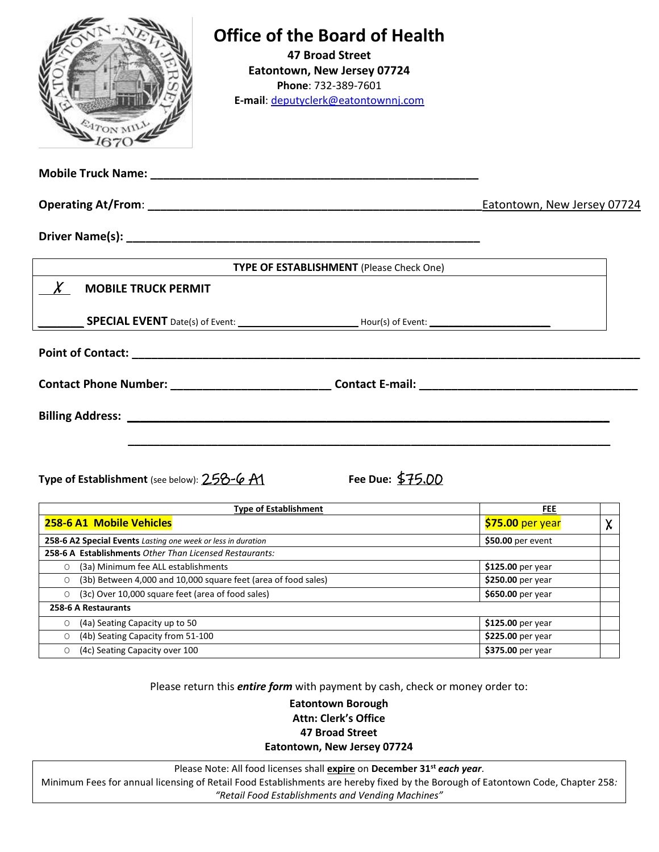| ATON MIL                                    | <b>Office of the Board of Health</b><br><b>47 Broad Street</b><br>Eatontown, New Jersey 07724<br>Phone: 732-389-7601<br>E-mail: deputyclerk@eatontownnj.com |                             |        |
|---------------------------------------------|-------------------------------------------------------------------------------------------------------------------------------------------------------------|-----------------------------|--------|
|                                             |                                                                                                                                                             |                             |        |
|                                             |                                                                                                                                                             | Eatontown, New Jersey 07724 |        |
|                                             |                                                                                                                                                             |                             |        |
|                                             | <b>TYPE OF ESTABLISHMENT</b> (Please Check One)                                                                                                             |                             |        |
| <b>MOBILE TRUCK PERMIT</b>                  |                                                                                                                                                             |                             |        |
|                                             | SPECIAL EVENT Date(s) of Event: _______________________________Hour(s) of Event: _____________________________                                              |                             |        |
|                                             |                                                                                                                                                             |                             |        |
|                                             |                                                                                                                                                             |                             |        |
|                                             |                                                                                                                                                             |                             |        |
| Type of Establishment (see below): 258-6 A1 | Fee Due: \$75,00                                                                                                                                            |                             |        |
|                                             | <b>FEE</b>                                                                                                                                                  |                             |        |
| 258-6 A1 Mobile Vehicles                    |                                                                                                                                                             | \$75.00 per year            | $\chi$ |

**258-6 A2 Special Events** *Lasting one week or less in duration* **\$50.00** per event **258-6 A Establishments** *Other Than Licensed Restaurants:* O (3a) Minimum fee ALL establishments **\$125.00** per year O (3b) Between 4,000 and 10,000 square feet (area of food sales) **\$250.00** per year O (3c) Over 10,000 square feet (area of food sales) **\$650.00** per year **258-6 A Restaurants** O (4a) Seating Capacity up to 50 **\$125.00** per year O (4b) Seating Capacity from 51-100 **\$225.00** per year O (4c) Seating Capacity over 100 **\$375.00** per year

Please return this *entire form* with payment by cash, check or money order to:

**Eatontown Borough Attn: Clerk's Office 47 Broad Street Eatontown, New Jersey 07724**

Please Note: All food licenses shall **expire** on **December 31st** *each year*.

Minimum Fees for annual licensing of Retail Food Establishments are hereby fixed by the Borough of Eatontown Code, Chapter 258*: "Retail Food Establishments and Vending Machines"*